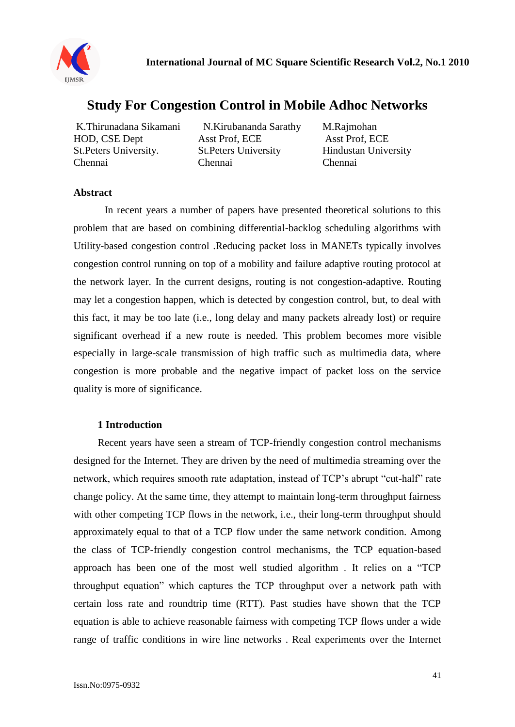

# **[Study For Congestion Control in Mobile Adhoc](http://ijmsr.org/pdf/paper%209.pdf) Networks**

K.Thirunadana Sikamani N.Kirubananda Sarathy M.Rajmohan HOD, CSE Dept Asst Prof, ECE Asst Prof, ECE St.Peters University. St.Peters University Hindustan University Chennai Chennai Chennai

#### **Abstract**

In recent years a number of papers have presented theoretical solutions to this problem that are based on combining differential-backlog scheduling algorithms with Utility-based congestion control .Reducing packet loss in MANETs typically involves congestion control running on top of a mobility and failure adaptive routing protocol at the network layer. In the current designs, routing is not congestion-adaptive. Routing may let a congestion happen, which is detected by congestion control, but, to deal with this fact, it may be too late (i.e., long delay and many packets already lost) or require significant overhead if a new route is needed. This problem becomes more visible especially in large-scale transmission of high traffic such as multimedia data, where congestion is more probable and the negative impact of packet loss on the service quality is more of significance.

## **1 Introduction**

Recent years have seen a stream of TCP-friendly congestion control mechanisms designed for the Internet. They are driven by the need of multimedia streaming over the network, which requires smooth rate adaptation, instead of TCP's abrupt "cut-half" rate change policy. At the same time, they attempt to maintain long-term throughput fairness with other competing TCP flows in the network, i.e., their long-term throughput should approximately equal to that of a TCP flow under the same network condition. Among the class of TCP-friendly congestion control mechanisms, the TCP equation-based approach has been one of the most well studied algorithm . It relies on a "TCP throughput equation" which captures the TCP throughput over a network path with certain loss rate and roundtrip time (RTT). Past studies have shown that the TCP equation is able to achieve reasonable fairness with competing TCP flows under a wide range of traffic conditions in wire line networks . Real experiments over the Internet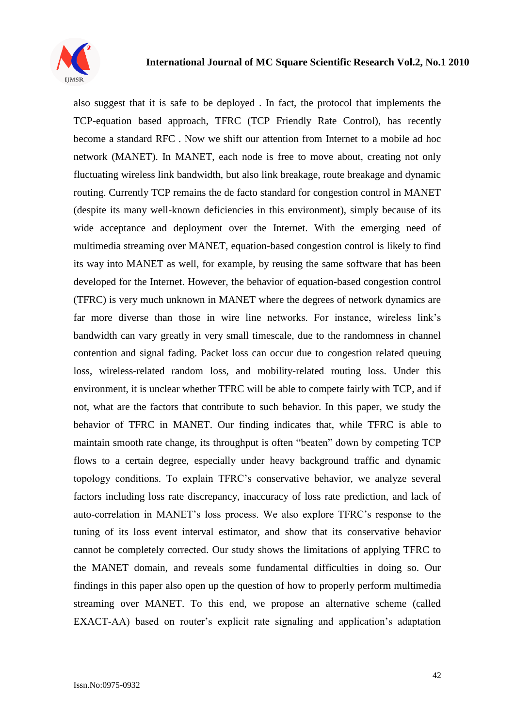

also suggest that it is safe to be deployed . In fact, the protocol that implements the TCP-equation based approach, TFRC (TCP Friendly Rate Control), has recently become a standard RFC . Now we shift our attention from Internet to a mobile ad hoc network (MANET). In MANET, each node is free to move about, creating not only fluctuating wireless link bandwidth, but also link breakage, route breakage and dynamic routing. Currently TCP remains the de facto standard for congestion control in MANET (despite its many well-known deficiencies in this environment), simply because of its wide acceptance and deployment over the Internet. With the emerging need of multimedia streaming over MANET, equation-based congestion control is likely to find its way into MANET as well, for example, by reusing the same software that has been developed for the Internet. However, the behavior of equation-based congestion control (TFRC) is very much unknown in MANET where the degrees of network dynamics are far more diverse than those in wire line networks. For instance, wireless link's bandwidth can vary greatly in very small timescale, due to the randomness in channel contention and signal fading. Packet loss can occur due to congestion related queuing loss, wireless-related random loss, and mobility-related routing loss. Under this environment, it is unclear whether TFRC will be able to compete fairly with TCP, and if not, what are the factors that contribute to such behavior. In this paper, we study the behavior of TFRC in MANET. Our finding indicates that, while TFRC is able to maintain smooth rate change, its throughput is often "beaten" down by competing TCP flows to a certain degree, especially under heavy background traffic and dynamic topology conditions. To explain TFRC's conservative behavior, we analyze several factors including loss rate discrepancy, inaccuracy of loss rate prediction, and lack of auto-correlation in MANET's loss process. We also explore TFRC's response to the tuning of its loss event interval estimator, and show that its conservative behavior cannot be completely corrected. Our study shows the limitations of applying TFRC to the MANET domain, and reveals some fundamental difficulties in doing so. Our findings in this paper also open up the question of how to properly perform multimedia streaming over MANET. To this end, we propose an alternative scheme (called EXACT-AA) based on router's explicit rate signaling and application's adaptation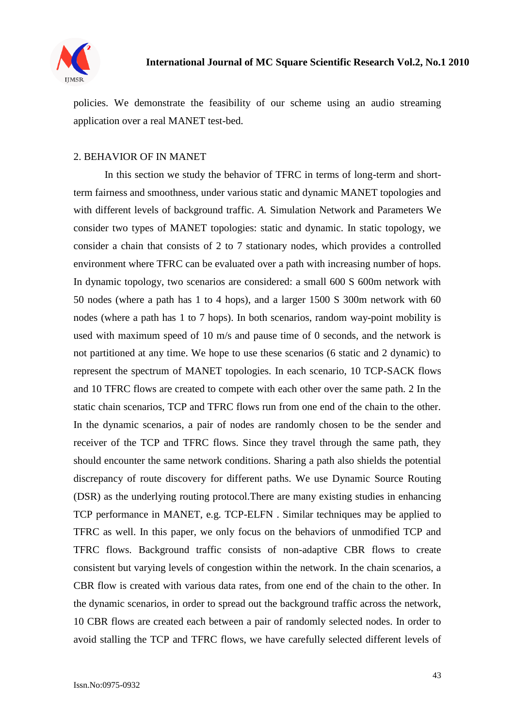

policies. We demonstrate the feasibility of our scheme using an audio streaming application over a real MANET test-bed.

### 2. BEHAVIOR OF IN MANET

In this section we study the behavior of TFRC in terms of long-term and shortterm fairness and smoothness, under various static and dynamic MANET topologies and with different levels of background traffic. *A.* Simulation Network and Parameters We consider two types of MANET topologies: static and dynamic. In static topology, we consider a chain that consists of 2 to 7 stationary nodes, which provides a controlled environment where TFRC can be evaluated over a path with increasing number of hops. In dynamic topology, two scenarios are considered: a small 600 S 600m network with 50 nodes (where a path has 1 to 4 hops), and a larger 1500 S 300m network with 60 nodes (where a path has 1 to 7 hops). In both scenarios, random way-point mobility is used with maximum speed of 10 m/s and pause time of 0 seconds, and the network is not partitioned at any time. We hope to use these scenarios (6 static and 2 dynamic) to represent the spectrum of MANET topologies. In each scenario, 10 TCP-SACK flows and 10 TFRC flows are created to compete with each other over the same path. 2 In the static chain scenarios, TCP and TFRC flows run from one end of the chain to the other. In the dynamic scenarios, a pair of nodes are randomly chosen to be the sender and receiver of the TCP and TFRC flows. Since they travel through the same path, they should encounter the same network conditions. Sharing a path also shields the potential discrepancy of route discovery for different paths. We use Dynamic Source Routing (DSR) as the underlying routing protocol.There are many existing studies in enhancing TCP performance in MANET, e.g. TCP-ELFN . Similar techniques may be applied to TFRC as well. In this paper, we only focus on the behaviors of unmodified TCP and TFRC flows. Background traffic consists of non-adaptive CBR flows to create consistent but varying levels of congestion within the network. In the chain scenarios, a CBR flow is created with various data rates, from one end of the chain to the other. In the dynamic scenarios, in order to spread out the background traffic across the network, 10 CBR flows are created each between a pair of randomly selected nodes. In order to avoid stalling the TCP and TFRC flows, we have carefully selected different levels of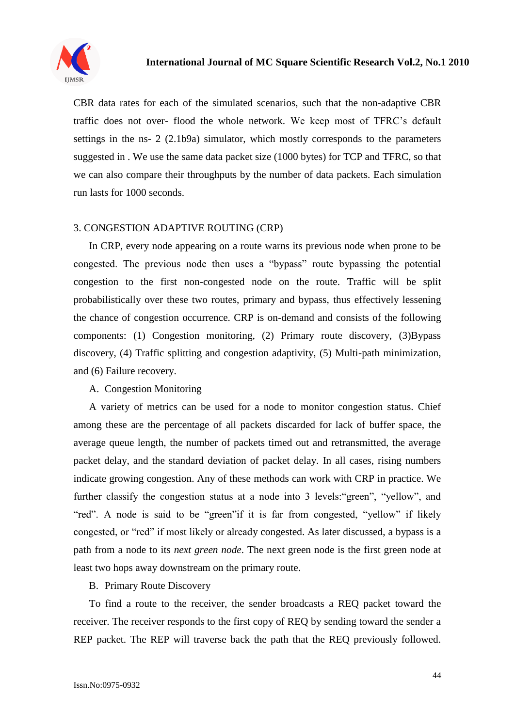

CBR data rates for each of the simulated scenarios, such that the non-adaptive CBR traffic does not over- flood the whole network. We keep most of TFRC's default settings in the ns- 2 (2.1b9a) simulator, which mostly corresponds to the parameters suggested in . We use the same data packet size (1000 bytes) for TCP and TFRC, so that we can also compare their throughputs by the number of data packets. Each simulation run lasts for 1000 seconds.

#### 3. CONGESTION ADAPTIVE ROUTING (CRP)

In CRP, every node appearing on a route warns its previous node when prone to be congested. The previous node then uses a "bypass" route bypassing the potential congestion to the first non-congested node on the route. Traffic will be split probabilistically over these two routes, primary and bypass, thus effectively lessening the chance of congestion occurrence. CRP is on-demand and consists of the following components: (1) Congestion monitoring, (2) Primary route discovery, (3)Bypass discovery, (4) Traffic splitting and congestion adaptivity, (5) Multi-path minimization, and (6) Failure recovery.

A. Congestion Monitoring

A variety of metrics can be used for a node to monitor congestion status. Chief among these are the percentage of all packets discarded for lack of buffer space, the average queue length, the number of packets timed out and retransmitted, the average packet delay, and the standard deviation of packet delay. In all cases, rising numbers indicate growing congestion. Any of these methods can work with CRP in practice. We further classify the congestion status at a node into 3 levels:"green", "yellow", and "red". A node is said to be "green"if it is far from congested, "yellow" if likely congested, or "red" if most likely or already congested. As later discussed, a bypass is a path from a node to its *next green node*. The next green node is the first green node at least two hops away downstream on the primary route.

B. Primary Route Discovery

To find a route to the receiver, the sender broadcasts a REQ packet toward the receiver. The receiver responds to the first copy of REQ by sending toward the sender a REP packet. The REP will traverse back the path that the REQ previously followed.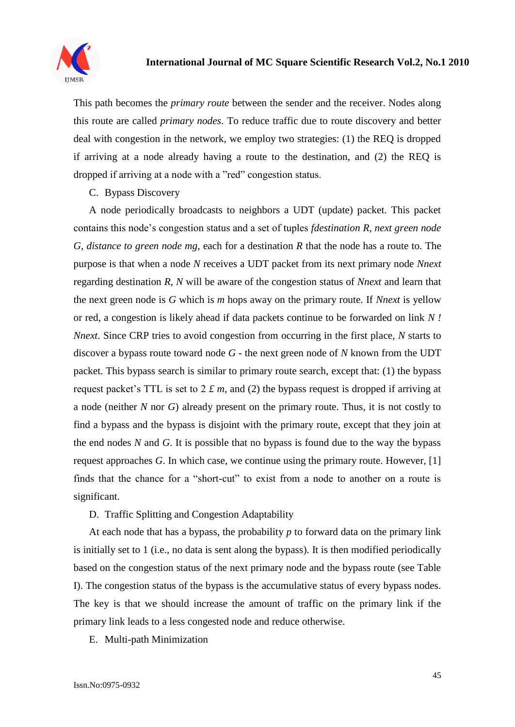

This path becomes the *primary route* between the sender and the receiver. Nodes along this route are called *primary nodes*. To reduce traffic due to route discovery and better deal with congestion in the network, we employ two strategies: (1) the REQ is dropped if arriving at a node already having a route to the destination, and (2) the REQ is dropped if arriving at a node with a "red" congestion status.

C. Bypass Discovery

A node periodically broadcasts to neighbors a UDT (update) packet. This packet contains this node's congestion status and a set of tuples *fdestination R, next green node G, distance to green node mg*, each for a destination *R* that the node has a route to. The purpose is that when a node *N* receives a UDT packet from its next primary node *Nnext*  regarding destination *R*, *N* will be aware of the congestion status of *Nnext* and learn that the next green node is *G* which is *m* hops away on the primary route. If *Nnext* is yellow or red, a congestion is likely ahead if data packets continue to be forwarded on link *N ! Nnext*. Since CRP tries to avoid congestion from occurring in the first place, *N* starts to discover a bypass route toward node *G* - the next green node of *N* known from the UDT packet. This bypass search is similar to primary route search, except that: (1) the bypass request packet's TTL is set to 2 *£ m*, and (2) the bypass request is dropped if arriving at a node (neither *N* nor *G*) already present on the primary route. Thus, it is not costly to find a bypass and the bypass is disjoint with the primary route, except that they join at the end nodes *N* and *G*. It is possible that no bypass is found due to the way the bypass request approaches *G*. In which case, we continue using the primary route. However, [1] finds that the chance for a "short-cut" to exist from a node to another on a route is significant.

D. Traffic Splitting and Congestion Adaptability

At each node that has a bypass, the probability *p* to forward data on the primary link is initially set to 1 (i.e., no data is sent along the bypass). It is then modified periodically based on the congestion status of the next primary node and the bypass route (see Table I). The congestion status of the bypass is the accumulative status of every bypass nodes. The key is that we should increase the amount of traffic on the primary link if the primary link leads to a less congested node and reduce otherwise.

E. Multi-path Minimization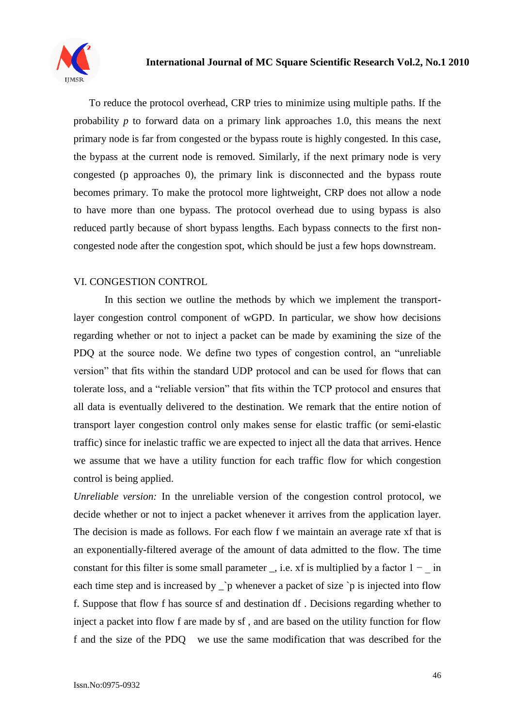

To reduce the protocol overhead, CRP tries to minimize using multiple paths. If the probability *p* to forward data on a primary link approaches 1.0, this means the next primary node is far from congested or the bypass route is highly congested. In this case, the bypass at the current node is removed. Similarly, if the next primary node is very congested (p approaches 0), the primary link is disconnected and the bypass route becomes primary. To make the protocol more lightweight, CRP does not allow a node to have more than one bypass. The protocol overhead due to using bypass is also reduced partly because of short bypass lengths. Each bypass connects to the first noncongested node after the congestion spot, which should be just a few hops downstream.

## VI. CONGESTION CONTROL

In this section we outline the methods by which we implement the transportlayer congestion control component of wGPD. In particular, we show how decisions regarding whether or not to inject a packet can be made by examining the size of the PDQ at the source node. We define two types of congestion control, an "unreliable version" that fits within the standard UDP protocol and can be used for flows that can tolerate loss, and a "reliable version" that fits within the TCP protocol and ensures that all data is eventually delivered to the destination. We remark that the entire notion of transport layer congestion control only makes sense for elastic traffic (or semi-elastic traffic) since for inelastic traffic we are expected to inject all the data that arrives. Hence we assume that we have a utility function for each traffic flow for which congestion control is being applied.

*Unreliable version:* In the unreliable version of the congestion control protocol, we decide whether or not to inject a packet whenever it arrives from the application layer. The decision is made as follows. For each flow f we maintain an average rate xf that is an exponentially-filtered average of the amount of data admitted to the flow. The time constant for this filter is some small parameter \_, i.e. xf is multiplied by a factor  $1 - \text{in}$ each time step and is increased by  $\dot{\ }$  p whenever a packet of size `p is injected into flow f. Suppose that flow f has source sf and destination df . Decisions regarding whether to inject a packet into flow f are made by sf , and are based on the utility function for flow f and the size of the PDQ we use the same modification that was described for the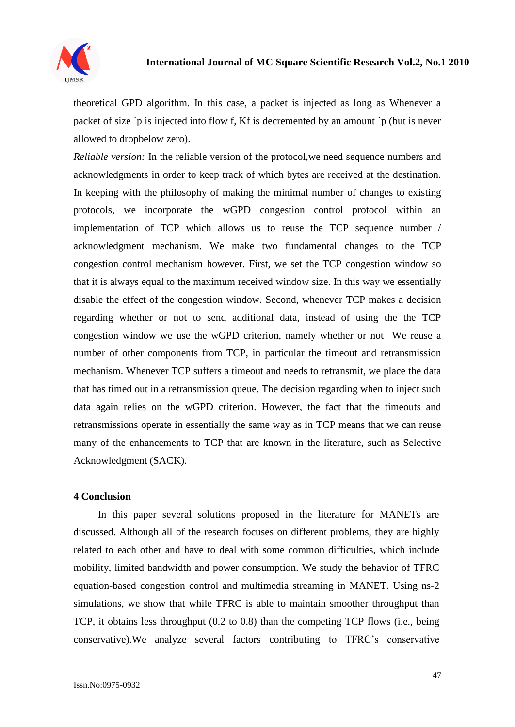

theoretical GPD algorithm. In this case, a packet is injected as long as Whenever a packet of size `p is injected into flow f, Kf is decremented by an amount `p (but is never allowed to dropbelow zero).

*Reliable version:* In the reliable version of the protocol, we need sequence numbers and acknowledgments in order to keep track of which bytes are received at the destination. In keeping with the philosophy of making the minimal number of changes to existing protocols, we incorporate the wGPD congestion control protocol within an implementation of TCP which allows us to reuse the TCP sequence number / acknowledgment mechanism. We make two fundamental changes to the TCP congestion control mechanism however. First, we set the TCP congestion window so that it is always equal to the maximum received window size. In this way we essentially disable the effect of the congestion window. Second, whenever TCP makes a decision regarding whether or not to send additional data, instead of using the the TCP congestion window we use the wGPD criterion, namely whether or not We reuse a number of other components from TCP, in particular the timeout and retransmission mechanism. Whenever TCP suffers a timeout and needs to retransmit, we place the data that has timed out in a retransmission queue. The decision regarding when to inject such data again relies on the wGPD criterion. However, the fact that the timeouts and retransmissions operate in essentially the same way as in TCP means that we can reuse many of the enhancements to TCP that are known in the literature, such as Selective Acknowledgment (SACK).

#### **4 Conclusion**

In this paper several solutions proposed in the literature for MANETs are discussed. Although all of the research focuses on different problems, they are highly related to each other and have to deal with some common difficulties, which include mobility, limited bandwidth and power consumption. We study the behavior of TFRC equation-based congestion control and multimedia streaming in MANET. Using ns-2 simulations, we show that while TFRC is able to maintain smoother throughput than TCP, it obtains less throughput (0.2 to 0.8) than the competing TCP flows (i.e., being conservative).We analyze several factors contributing to TFRC's conservative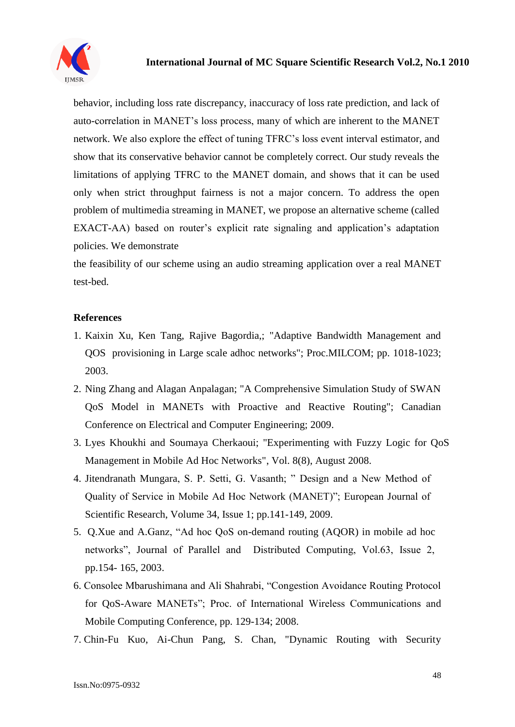

behavior, including loss rate discrepancy, inaccuracy of loss rate prediction, and lack of auto-correlation in MANET's loss process, many of which are inherent to the MANET network. We also explore the effect of tuning TFRC's loss event interval estimator, and show that its conservative behavior cannot be completely correct. Our study reveals the limitations of applying TFRC to the MANET domain, and shows that it can be used only when strict throughput fairness is not a major concern. To address the open problem of multimedia streaming in MANET, we propose an alternative scheme (called EXACT-AA) based on router's explicit rate signaling and application's adaptation policies. We demonstrate

the feasibility of our scheme using an audio streaming application over a real MANET test-bed.

## **References**

- 1. Kaixin Xu, Ken Tang, Rajive Bagordia,; "Adaptive Bandwidth Management and QOS provisioning in Large scale adhoc networks"; Proc.MILCOM; pp. 1018-1023; 2003.
- 2. Ning Zhang and Alagan Anpalagan; "A Comprehensive Simulation Study of SWAN QoS Model in MANETs with Proactive and Reactive Routing"; Canadian Conference on Electrical and Computer Engineering; 2009.
- 3. Lyes Khoukhi and Soumaya Cherkaoui; "Experimenting with Fuzzy Logic for QoS Management in Mobile Ad Hoc Networks", Vol. 8(8), August 2008.
- 4. Jitendranath Mungara, S. P. Setti, G. Vasanth; " Design and a New Method of Quality of Service in Mobile Ad Hoc Network (MANET)"; European Journal of Scientific Research, Volume 34, Issue 1; pp.141-149, 2009.
- 5. Q.Xue and A.Ganz, "Ad hoc QoS on-demand routing (AQOR) in mobile ad hoc networks", Journal of Parallel and Distributed Computing, Vol.63, Issue 2, pp.154- 165, 2003.
- 6. Consolee Mbarushimana and Ali Shahrabi, "Congestion Avoidance Routing Protocol for QoS-Aware MANETs"; Proc. of International Wireless Communications and Mobile Computing Conference, pp. 129-134; 2008.
- 7. Chin-Fu Kuo, Ai-Chun Pang, S. Chan, "Dynamic Routing with Security